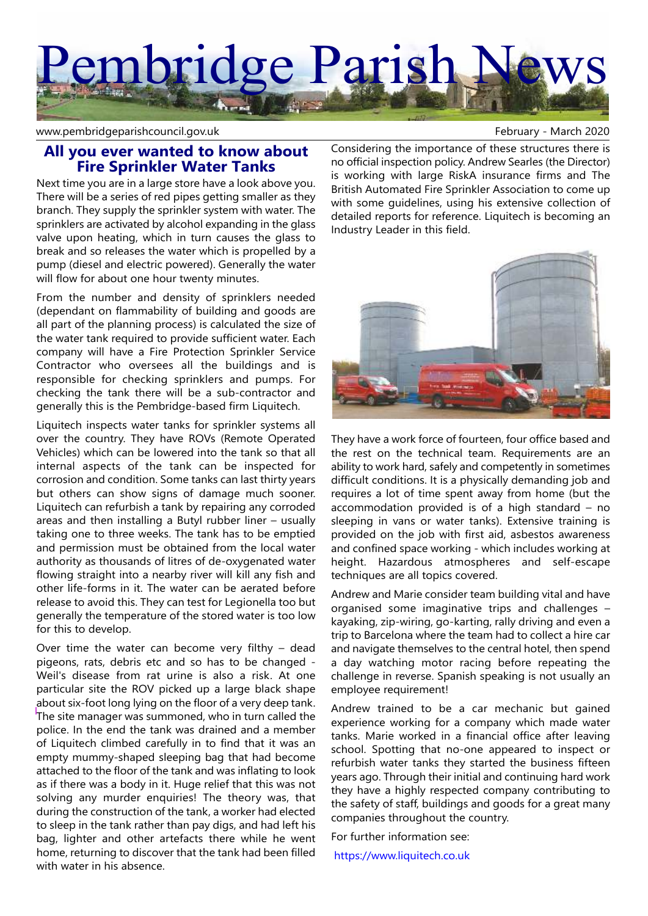# embridge Parish

www.pembridgeparishcouncil.gov.uk example and the state of the February - March 2020

## **All you ever wanted to know about Fire Sprinkler Water Tanks**

Next time you are in a large store have a look above you. There will be a series of red pipes getting smaller as they branch. They supply the sprinkler system with water. The sprinklers are activated by alcohol expanding in the glass valve upon heating, which in turn causes the glass to break and so releases the water which is propelled by a pump (diesel and electric powered). Generally the water will flow for about one hour twenty minutes.

From the number and density of sprinklers needed (dependant on flammability of building and goods are all part of the planning process) is calculated the size of the water tank required to provide sufficient water. Each company will have a Fire Protection Sprinkler Service Contractor who oversees all the buildings and is responsible for checking sprinklers and pumps. For checking the tank there will be a sub-contractor and generally this is the Pembridge-based firm Liquitech.

Liquitech inspects water tanks for sprinkler systems all over the country. They have ROVs (Remote Operated Vehicles) which can be lowered into the tank so that all internal aspects of the tank can be inspected for corrosion and condition. Some tanks can last thirty years but others can show signs of damage much sooner. Liquitech can refurbish a tank by repairing any corroded areas and then installing a Butyl rubber liner – usually taking one to three weeks. The tank has to be emptied and permission must be obtained from the local water authority as thousands of litres of de-oxygenated water flowing straight into a nearby river will kill any fish and other life-forms in it. The water can be aerated before release to avoid this. They can test for Legionella too but generally the temperature of the stored water is too low for this to develop.

Over time the water can become very filthy – dead pigeons, rats, debris etc and so has to be changed - Weil's disease from rat urine is also a risk. At one particular site the ROV picked up a large black shape about six-foot long lying on the floor of a very deep tank. The site manager was summoned, who in turn called the police. In the end the tank was drained and a member of Liquitech climbed carefully in to find that it was an empty mummy-shaped sleeping bag that had become attached to the floor of the tank and was inflating to look as if there was a body in it. Huge relief that this was not solving any murder enquiries! The theory was, that during the construction of the tank, a worker had elected to sleep in the tank rather than pay digs, and had left his bag, lighter and other artefacts there while he went home, returning to discover that the tank had been filled with water in his absence.

Considering the importance of these structures there is no official inspection policy. Andrew Searles (the Director) is working with large RiskA insurance firms and The British Automated Fire Sprinkler Association to come up with some guidelines, using his extensive collection of detailed reports for reference. Liquitech is becoming an Industry Leader in this field.



They have a work force of fourteen, four office based and the rest on the technical team. Requirements are an ability to work hard, safely and competently in sometimes difficult conditions. It is a physically demanding job and requires a lot of time spent away from home (but the accommodation provided is of a high standard – no sleeping in vans or water tanks). Extensive training is provided on the job with first aid, asbestos awareness and confined space working - which includes working at height. Hazardous atmospheres and self-escape techniques are all topics covered.

Andrew and Marie consider team building vital and have organised some imaginative trips and challenges – kayaking, zip-wiring, go-karting, rally driving and even a trip to Barcelona where the team had to collect a hire car and navigate themselves to the central hotel, then spend a day watching motor racing before repeating the challenge in reverse. Spanish speaking is not usually an employee requirement!

Andrew trained to be a car mechanic but gained experience working for a company which made water tanks. Marie worked in a financial office after leaving school. Spotting that no-one appeared to inspect or refurbish water tanks they started the business fifteen years ago. Through their initial and continuing hard work they have a highly respected company contributing to the safety of staff, buildings and goods for a great many companies throughout the country.

For further information see:

https://www.liquitech.co.uk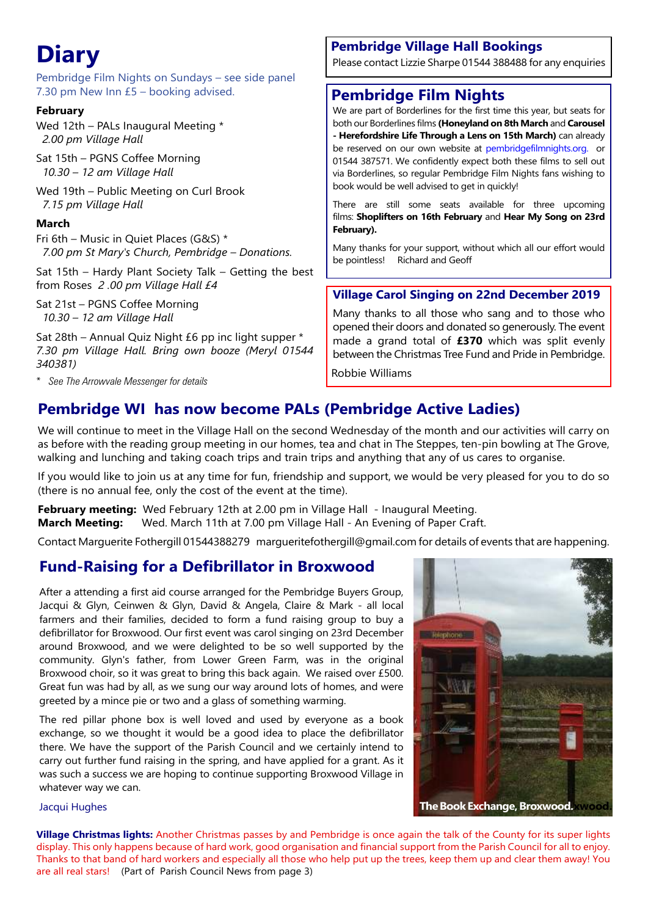# **Diary**

Pembridge Film Nights on Sundays – see side panel 7.30 pm New Inn £5 – booking advised.

#### **February**

Wed 12th – PALs Inaugural Meeting \*  *2.00 pm Village Hall*

Sat 15th – PGNS Coffee Morning  *10.30 – 12 am Village Hall*

Wed 19th – Public Meeting on Curl Brook  *7.15 pm Village Hall*

#### **March**

Fri 6th – Music in Quiet Places (G&S) \*  *7.00 pm St Mary's Church, Pembridge – Donations.*

Sat 15th – Hardy Plant Society Talk – Getting the best from Roses *2 .00 pm Village Hall £4*

Sat 21st – PGNS Coffee Morning *10.30 – 12 am Village Hall*

Sat 28th – Annual Quiz Night £6 pp inc light supper \* *7.30 pm Village Hall. Bring own booze (Meryl 01544 340381)*

\* *See The Arrowvale Messenger for details*

### **Pembridge Village Hall Bookings**

Please contact Lizzie Sharpe 01544 388488 for any enquiries

# **Pembridge Film Nights**

We are part of Borderlines for the first time this year, but seats for both our Borderlines films **(Honeyland on 8th March** and **Carousel - Herefordshire Life Through a Lens on 15th March)** can already be reserved on our own website at pembridgefilmnights.org. or 01544 387571. We confidently expect both these films to sell out via Borderlines, so regular Pembridge Film Nights fans wishing to book would be well advised to get in quickly!

There are still some seats available for three upcoming films: **Shoplifters on 16th February** and **Hear My Song on 23rd February).**

Many thanks for your support, without which all our effort would be pointless! Richard and Geoff

#### **Village Carol Singing on 22nd December 2019**

Many thanks to all those who sang and to those who opened their doors and donated so generously. The event made a grand total of **£370** which was split evenly between the Christmas Tree Fund and Pride in Pembridge.

Robbie Williams

# **Pembridge WI has now become PALs (Pembridge Active Ladies)**

We will continue to meet in the Village Hall on the second Wednesday of the month and our activities will carry on as before with the reading group meeting in our homes, tea and chat in The Steppes, ten-pin bowling at The Grove, walking and lunching and taking coach trips and train trips and anything that any of us cares to organise.

If you would like to join us at any time for fun, friendship and support, we would be very pleased for you to do so (there is no annual fee, only the cost of the event at the time).

**February meeting:** Wed February 12th at 2.00 pm in Village Hall - Inaugural Meeting. **March Meeting:** Wed. March 11th at 7.00 pm Village Hall - An Evening of Paper Craft.

Contact Marguerite Fothergill 01544388279 margueritefothergill@gmail.com for details of events that are happening.

# **Fund-Raising for a Defibrillator in Broxwood**

After a attending a first aid course arranged for the Pembridge Buyers Group, Jacqui & Glyn, Ceinwen & Glyn, David & Angela, Claire & Mark - all local farmers and their families, decided to form a fund raising group to buy a defibrillator for Broxwood. Our first event was carol singing on 23rd December around Broxwood, and we were delighted to be so well supported by the community. Glyn's father, from Lower Green Farm, was in the original Broxwood choir, so it was great to bring this back again. We raised over £500. Great fun was had by all, as we sung our way around lots of homes, and were greeted by a mince pie or two and a glass of something warming.

The red pillar phone box is well loved and used by everyone as a book exchange, so we thought it would be a good idea to place the defibrillator there. We have the support of the Parish Council and we certainly intend to carry out further fund raising in the spring, and have applied for a grant. As it was such a success we are hoping to continue supporting Broxwood Village in whatever way we can.



#### Jacqui Hughes

**Village Christmas lights:** Another Christmas passes by and Pembridge is once again the talk of the County for its super lights display. This only happens because of hard work, good organisation and financial support from the Parish Council for all to enjoy. Thanks to that band of hard workers and especially all those who help put up the trees, keep them up and clear them away! You are all real stars! (Part of Parish Council News from page 3)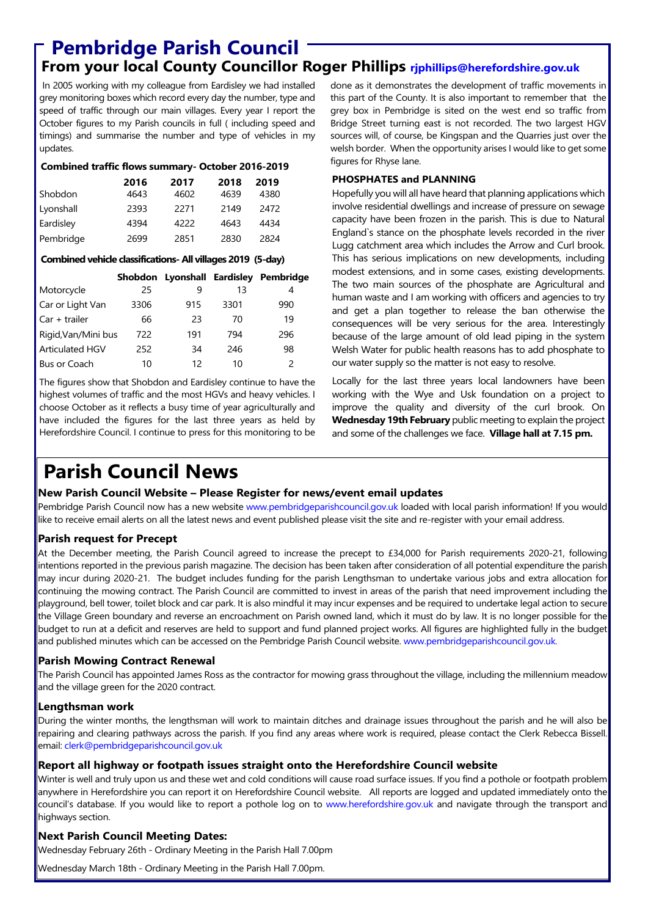# **Pembridge Parish Council**

**From your local County Councillor Roger Phillips rjphillips@herefordshire.gov.uk**

 In 2005 working with my colleague from Eardisley we had installed grey monitoring boxes which record every day the number, type and speed of traffic through our main villages. Every year I report the October figures to my Parish councils in full ( including speed and timings) and summarise the number and type of vehicles in my updates.

#### **Combined traffic flows summary- October 2016-2019**

|           | 2016 | 2017 | 2018 | 2019 |
|-----------|------|------|------|------|
| Shobdon   | 4643 | 4602 | 4639 | 4380 |
| Lyonshall | 2393 | 2271 | 2149 | 2472 |
| Eardisley | 4394 | 4222 | 4643 | 4434 |
| Pembridge | 2699 | 2851 | 2830 | 2824 |

#### **Combined vehicle classifications- All villages 2019 (5-day)**

|                        |      |     |      | Shobdon Lyonshall Eardisley Pembridge |
|------------------------|------|-----|------|---------------------------------------|
| Motorcycle             | 25   | q   | 13   | 4                                     |
| Car or Light Van       | 3306 | 915 | 3301 | 990                                   |
| $Car + trailer$        | 66   | 23  | 70   | 19                                    |
| Rigid, Van/Mini bus    | 722  | 191 | 794  | 296                                   |
| <b>Articulated HGV</b> | 252  | 34  | 246  | 98                                    |
| Bus or Coach           | 10   | 12  | 10   | $\mathcal{P}$                         |

The figures show that Shobdon and Eardisley continue to have the highest volumes of traffic and the most HGVs and heavy vehicles. I choose October as it reflects a busy time of year agriculturally and have included the figures for the last three years as held by Herefordshire Council. I continue to press for this monitoring to be done as it demonstrates the development of traffic movements in this part of the County. It is also important to remember that the grey box in Pembridge is sited on the west end so traffic from Bridge Street turning east is not recorded. The two largest HGV sources will, of course, be Kingspan and the Quarries just over the welsh border. When the opportunity arises I would like to get some figures for Rhyse lane.

#### **PHOSPHATES and PLANNING**

Hopefully you will all have heard that planning applications which involve residential dwellings and increase of pressure on sewage capacity have been frozen in the parish. This is due to Natural England`s stance on the phosphate levels recorded in the river Lugg catchment area which includes the Arrow and Curl brook. This has serious implications on new developments, including modest extensions, and in some cases, existing developments. The two main sources of the phosphate are Agricultural and human waste and I am working with officers and agencies to try and get a plan together to release the ban otherwise the consequences will be very serious for the area. Interestingly because of the large amount of old lead piping in the system Welsh Water for public health reasons has to add phosphate to our water supply so the matter is not easy to resolve.

Locally for the last three years local landowners have been working with the Wye and Usk foundation on a project to improve the quality and diversity of the curl brook. On **Wednesday 19th February** public meeting to explain the project and some of the challenges we face. **Village hall at 7.15 pm.**

# **Parish Council News**

#### **New Parish Council Website – Please Register for news/event email updates**

Pembridge Parish Council now has a new website www.pembridgeparishcouncil.gov.uk loaded with local parish information! If you would like to receive email alerts on all the latest news and event published please visit the site and re-register with your email address.

#### **Parish request for Precept**

At the December meeting, the Parish Council agreed to increase the precept to £34,000 for Parish requirements 2020-21, following intentions reported in the previous parish magazine. The decision has been taken after consideration of all potential expenditure the parish may incur during 2020-21. The budget includes funding for the parish Lengthsman to undertake various jobs and extra allocation for continuing the mowing contract. The Parish Council are committed to invest in areas of the parish that need improvement including the playground, bell tower, toilet block and car park. It is also mindful it may incur expenses and be required to undertake legal action to secure the Village Green boundary and reverse an encroachment on Parish owned land, which it must do by law. It is no longer possible for the budget to run at a deficit and reserves are held to support and fund planned project works. All figures are highlighted fully in the budget and published minutes which can be accessed on the Pembridge Parish Council website. www.pembridgeparishcouncil.gov.uk.

#### **Parish Mowing Contract Renewal**

The Parish Council has appointed James Ross as the contractor for mowing grass throughout the village, including the millennium meadow and the village green for the 2020 contract.

#### **Lengthsman work**

During the winter months, the lengthsman will work to maintain ditches and drainage issues throughout the parish and he will also be repairing and clearing pathways across the parish. If you find any areas where work is required, please contact the Clerk Rebecca Bissell. email: clerk@pembridgeparishcouncil.gov.uk

#### **Report all highway or footpath issues straight onto the Herefordshire Council website**

Winter is well and truly upon us and these wet and cold conditions will cause road surface issues. If you find a pothole or footpath problem anywhere in Herefordshire you can report it on Herefordshire Council website. All reports are logged and updated immediately onto the council's database. If you would like to report a pothole log on to www.herefordshire.gov.uk and navigate through the transport and highways section.

#### **Next Parish Council Meeting Dates:**

Wednesday February 26th - Ordinary Meeting in the Parish Hall 7.00pm

Wednesday March 18th - Ordinary Meeting in the Parish Hall 7.00pm.